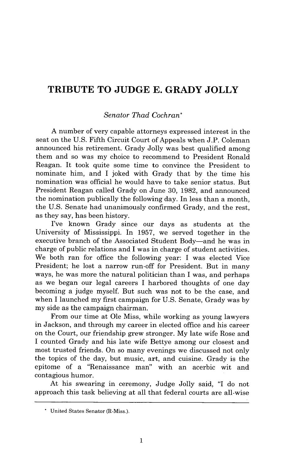## **TRIBUTE TO JUDGE E. GRADY JOLLY**

## *Senator Thad Cochran\**

A number of very capable attorneys expressed interest in the seat on the U.S. Fifth Circuit Court of Appeals when J.P. Coleman announced his retirement. Grady Jolly was best qualified among them and so was my choice to recommend to President Ronald Reagan. It took quite some time to convince the President to nominate him, and I joked with Grady that by the time his nomination was official he would have to take senior status. But President Reagan called Grady on June 30, 1982, and announced the nomination publically the following day. In less than a month, the U.S. Senate had unanimously confirmed Grady, and the rest, as they say, has been history.

I've known Grady since our days as students at the University of Mississippi. In 1957, we served together in the executive branch of the Associated Student Body-and he was in charge of public relations and I was in charge of student activities. We both ran for office the following year: I was elected Vice President; he lost a narrow run-off for President. But in many ways, he was more the natural politician than I was, and perhaps as we began our legal careers I harbored thoughts of one day becoming a judge myself. But such was not to be the case, and when I launched my first campaign for U.S. Senate, Grady was by my side as the campaign chairman.

From our time at Ole Miss, while working as young lawyers in Jackson, and through my career in elected office and his career on the Court, our friendship grew stronger. My late wife Rose and I counted Grady and his late wife Bettye among our closest and most trusted friends. On so many evenings we discussed not only the topics of the day, but music, art, and cuisine. Grady is the epitome of a "Renaissance man" with an acerbic wit and contagious humor.

At his swearing in ceremony, Judge Jolly said, "I do not approach this task believing at all that federal courts are all-wise

<sup>\*</sup> United States Senator (R-Miss.).